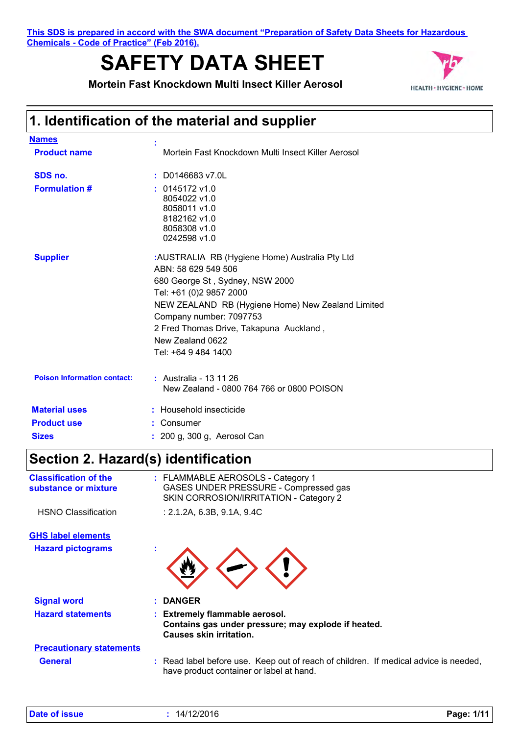**This SDS is prepared in accord with the SWA document "Preparation of Safety Data Sheets for Hazardous Chemicals - Code of Practice" (Feb 2016).**

# **SAFETY DATA SHEET**



**Mortein Fast Knockdown Multi Insect Killer Aerosol**

# **1. Identification of the material and supplier**

| <b>Names</b>                       |                                                                                                                                                                                                                                                                                                           |
|------------------------------------|-----------------------------------------------------------------------------------------------------------------------------------------------------------------------------------------------------------------------------------------------------------------------------------------------------------|
| <b>Product name</b>                | Mortein Fast Knockdown Multi Insect Killer Aerosol                                                                                                                                                                                                                                                        |
| SDS no.                            | $:$ D0146683 v7.0L                                                                                                                                                                                                                                                                                        |
| <b>Formulation #</b>               | $: 0145172$ v1.0<br>8054022 v1.0<br>8058011 v1.0<br>8182162 v1.0<br>8058308 v1.0<br>0242598 v1.0                                                                                                                                                                                                          |
| <b>Supplier</b>                    | :AUSTRALIA RB (Hygiene Home) Australia Pty Ltd<br>ABN: 58 629 549 506<br>680 George St, Sydney, NSW 2000<br>Tel: +61 (0)2 9857 2000<br>NEW ZEALAND RB (Hygiene Home) New Zealand Limited<br>Company number: 7097753<br>2 Fred Thomas Drive, Takapuna Auckland,<br>New Zealand 0622<br>Tel: +64 9 484 1400 |
| <b>Poison Information contact:</b> | : Australia - 13 11 26<br>New Zealand - 0800 764 766 or 0800 POISON                                                                                                                                                                                                                                       |
| <b>Material uses</b>               | : Household insecticide                                                                                                                                                                                                                                                                                   |
| <b>Product use</b>                 | Consumer                                                                                                                                                                                                                                                                                                  |
| <b>Sizes</b>                       | : 200 g, 300 g, Aerosol Can                                                                                                                                                                                                                                                                               |

# **Section 2. Hazard(s) identification**

| <b>Classification of the</b><br>substance or mixture | : FLAMMABLE AEROSOLS - Category 1<br>GASES UNDER PRESSURE - Compressed gas<br>SKIN CORROSION/IRRITATION - Category 2             |
|------------------------------------------------------|----------------------------------------------------------------------------------------------------------------------------------|
| <b>HSNO Classification</b>                           | : 2.1.2A, 6.3B, 9.1A, 9.4C                                                                                                       |
| <b>GHS label elements</b>                            |                                                                                                                                  |
| <b>Hazard pictograms</b>                             |                                                                                                                                  |
| <b>Signal word</b>                                   | <b>DANGER</b>                                                                                                                    |
| <b>Hazard statements</b>                             | : Extremely flammable aerosol.<br>Contains gas under pressure; may explode if heated.<br><b>Causes skin irritation.</b>          |
| <b>Precautionary statements</b>                      |                                                                                                                                  |
| <b>General</b>                                       | : Read label before use. Keep out of reach of children. If medical advice is needed,<br>have product container or label at hand. |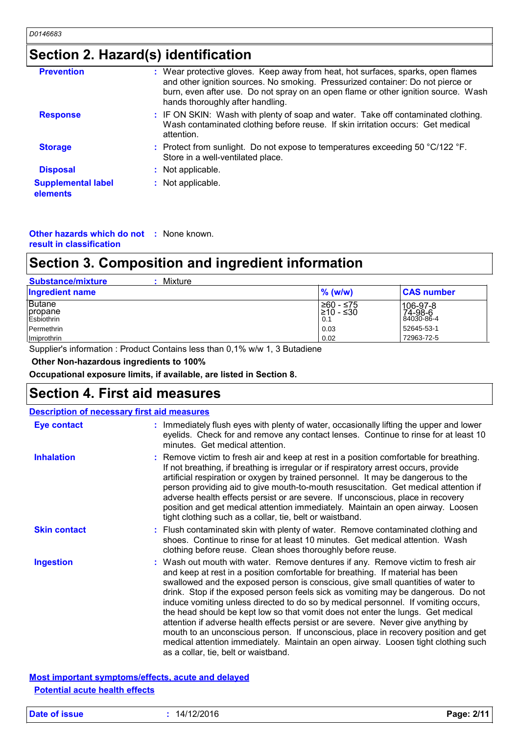# **Section 2. Hazard(s) identification**

| <b>Prevention</b>                     | : Wear protective gloves. Keep away from heat, hot surfaces, sparks, open flames<br>and other ignition sources. No smoking. Pressurized container: Do not pierce or<br>burn, even after use. Do not spray on an open flame or other ignition source. Wash<br>hands thoroughly after handling. |  |
|---------------------------------------|-----------------------------------------------------------------------------------------------------------------------------------------------------------------------------------------------------------------------------------------------------------------------------------------------|--|
| <b>Response</b>                       | : IF ON SKIN: Wash with plenty of soap and water. Take off contaminated clothing.<br>Wash contaminated clothing before reuse. If skin irritation occurs: Get medical<br>attention.                                                                                                            |  |
| <b>Storage</b>                        | : Protect from sunlight. Do not expose to temperatures exceeding 50 $\degree$ C/122 $\degree$ F.<br>Store in a well-ventilated place.                                                                                                                                                         |  |
| <b>Disposal</b>                       | : Not applicable.                                                                                                                                                                                                                                                                             |  |
| <b>Supplemental label</b><br>elements | : Not applicable.                                                                                                                                                                                                                                                                             |  |

**Other hazards which do not :** None known. **result in classification**

# **Section 3. Composition and ingredient information**

| Mixture<br><b>Substance/mixture</b>    |                                |                                   |
|----------------------------------------|--------------------------------|-----------------------------------|
| <b>Ingredient name</b>                 | $%$ (w/w)                      | <b>CAS number</b>                 |
| <b>Butane</b><br>propane<br>Esbiothrin | ≥60 - ≤75<br>I≥10 - ≤30<br>0.1 | 106-97-8<br>74-98-6<br>84030-86-4 |
| Permethrin                             | 0.03                           | 52645-53-1                        |
| Imiprothrin                            | 0.02                           | 72963-72-5                        |

## **Section 4. First aid measures**

| Esbiothrin                                         |                                                                            | 0.1                                                                                                                                                                                                                                                                                                                                                                                                                           | 84030-86-4                                                                                                                                                                                                                                                                                                                                          |
|----------------------------------------------------|----------------------------------------------------------------------------|-------------------------------------------------------------------------------------------------------------------------------------------------------------------------------------------------------------------------------------------------------------------------------------------------------------------------------------------------------------------------------------------------------------------------------|-----------------------------------------------------------------------------------------------------------------------------------------------------------------------------------------------------------------------------------------------------------------------------------------------------------------------------------------------------|
| Permethrin                                         |                                                                            | 0.03                                                                                                                                                                                                                                                                                                                                                                                                                          | 52645-53-1<br>72963-72-5                                                                                                                                                                                                                                                                                                                            |
| Imiprothrin                                        | Supplier's information: Product Contains less than 0,1% w/w 1, 3 Butadiene | 0.02                                                                                                                                                                                                                                                                                                                                                                                                                          |                                                                                                                                                                                                                                                                                                                                                     |
|                                                    |                                                                            |                                                                                                                                                                                                                                                                                                                                                                                                                               |                                                                                                                                                                                                                                                                                                                                                     |
| Other Non-hazardous ingredients to 100%            |                                                                            |                                                                                                                                                                                                                                                                                                                                                                                                                               |                                                                                                                                                                                                                                                                                                                                                     |
|                                                    | Occupational exposure limits, if available, are listed in Section 8.       |                                                                                                                                                                                                                                                                                                                                                                                                                               |                                                                                                                                                                                                                                                                                                                                                     |
| <b>Section 4. First aid measures</b>               |                                                                            |                                                                                                                                                                                                                                                                                                                                                                                                                               |                                                                                                                                                                                                                                                                                                                                                     |
| <b>Description of necessary first aid measures</b> |                                                                            |                                                                                                                                                                                                                                                                                                                                                                                                                               |                                                                                                                                                                                                                                                                                                                                                     |
| <b>Eye contact</b>                                 | minutes. Get medical attention.                                            |                                                                                                                                                                                                                                                                                                                                                                                                                               | : Immediately flush eyes with plenty of water, occasionally lifting the upper and lower<br>eyelids. Check for and remove any contact lenses. Continue to rinse for at least 10                                                                                                                                                                      |
| <b>Inhalation</b>                                  |                                                                            | If not breathing, if breathing is irregular or if respiratory arrest occurs, provide<br>artificial respiration or oxygen by trained personnel. It may be dangerous to the<br>adverse health effects persist or are severe. If unconscious, place in recovery<br>position and get medical attention immediately. Maintain an open airway. Loosen<br>tight clothing such as a collar, tie, belt or waistband.                   | : Remove victim to fresh air and keep at rest in a position comfortable for breathing.<br>person providing aid to give mouth-to-mouth resuscitation. Get medical attention if                                                                                                                                                                       |
| <b>Skin contact</b>                                |                                                                            | : Flush contaminated skin with plenty of water. Remove contaminated clothing and<br>shoes. Continue to rinse for at least 10 minutes. Get medical attention. Wash<br>clothing before reuse. Clean shoes thoroughly before reuse.                                                                                                                                                                                              |                                                                                                                                                                                                                                                                                                                                                     |
| <b>Ingestion</b>                                   | as a collar, tie, belt or waistband.                                       | : Wash out mouth with water. Remove dentures if any. Remove victim to fresh air<br>and keep at rest in a position comfortable for breathing. If material has been<br>swallowed and the exposed person is conscious, give small quantities of water to<br>the head should be kept low so that vomit does not enter the lungs. Get medical<br>attention if adverse health effects persist or are severe. Never give anything by | drink. Stop if the exposed person feels sick as vomiting may be dangerous. Do not<br>induce vomiting unless directed to do so by medical personnel. If vomiting occurs,<br>mouth to an unconscious person. If unconscious, place in recovery position and get<br>medical attention immediately. Maintain an open airway. Loosen tight clothing such |
| <b>Potential acute health effects</b>              | Most important symptoms/effects, acute and delayed                         |                                                                                                                                                                                                                                                                                                                                                                                                                               |                                                                                                                                                                                                                                                                                                                                                     |
| Date of issue                                      | : 14/12/2016                                                               |                                                                                                                                                                                                                                                                                                                                                                                                                               | Page: 2/11                                                                                                                                                                                                                                                                                                                                          |

| Date of issue |  |  |
|---------------|--|--|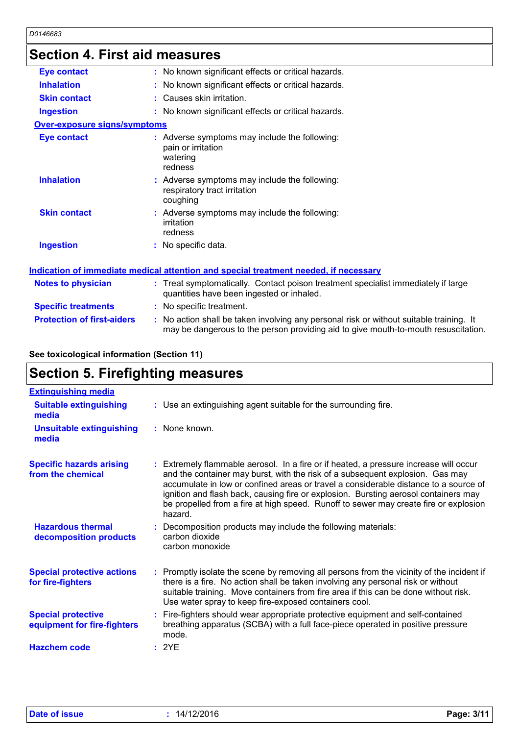### **Section 4. First aid measures**

| OGUNUN 7. LIIJU ANI MUGASULGS     |                                                                                                                                                                               |
|-----------------------------------|-------------------------------------------------------------------------------------------------------------------------------------------------------------------------------|
| <b>Eye contact</b>                | : No known significant effects or critical hazards.                                                                                                                           |
| <b>Inhalation</b>                 | : No known significant effects or critical hazards.                                                                                                                           |
| <b>Skin contact</b>               | : Causes skin irritation.                                                                                                                                                     |
| <b>Ingestion</b>                  | : No known significant effects or critical hazards.                                                                                                                           |
| Over-exposure signs/symptoms      |                                                                                                                                                                               |
| <b>Eye contact</b>                | : Adverse symptoms may include the following:<br>pain or irritation<br>watering<br>redness                                                                                    |
| <b>Inhalation</b>                 | : Adverse symptoms may include the following:<br>respiratory tract irritation<br>coughing                                                                                     |
| <b>Skin contact</b>               | : Adverse symptoms may include the following:<br>irritation<br>redness                                                                                                        |
| <b>Ingestion</b>                  | No specific data.                                                                                                                                                             |
|                                   | <b>Indication of immediate medical attention and special treatment needed, if necessary</b>                                                                                   |
| <b>Notes to physician</b>         | : Treat symptomatically. Contact poison treatment specialist immediately if large<br>quantities have been ingested or inhaled.                                                |
| <b>Specific treatments</b>        | : No specific treatment.                                                                                                                                                      |
| <b>Protection of first-aiders</b> | : No action shall be taken involving any personal risk or without suitable training. It<br>may be dangerous to the person providing aid to give mouth-to-mouth resuscitation. |

**See toxicological information (Section 11)**

# **Section 5. Firefighting measures**

| <b>Extinguishing media</b>                               |                                                                                                                                                                                                                                                                                                                                                                                                                                                          |
|----------------------------------------------------------|----------------------------------------------------------------------------------------------------------------------------------------------------------------------------------------------------------------------------------------------------------------------------------------------------------------------------------------------------------------------------------------------------------------------------------------------------------|
| <b>Suitable extinguishing</b><br>media                   | : Use an extinguishing agent suitable for the surrounding fire.                                                                                                                                                                                                                                                                                                                                                                                          |
| <b>Unsuitable extinguishing</b><br>media                 | : None known.                                                                                                                                                                                                                                                                                                                                                                                                                                            |
| <b>Specific hazards arising</b><br>from the chemical     | : Extremely flammable aerosol. In a fire or if heated, a pressure increase will occur<br>and the container may burst, with the risk of a subsequent explosion. Gas may<br>accumulate in low or confined areas or travel a considerable distance to a source of<br>ignition and flash back, causing fire or explosion. Bursting aerosol containers may<br>be propelled from a fire at high speed. Runoff to sewer may create fire or explosion<br>hazard. |
| <b>Hazardous thermal</b><br>decomposition products       | : Decomposition products may include the following materials:<br>carbon dioxide<br>carbon monoxide                                                                                                                                                                                                                                                                                                                                                       |
| <b>Special protective actions</b><br>for fire-fighters   | : Promptly isolate the scene by removing all persons from the vicinity of the incident if<br>there is a fire. No action shall be taken involving any personal risk or without<br>suitable training. Move containers from fire area if this can be done without risk.<br>Use water spray to keep fire-exposed containers cool.                                                                                                                            |
| <b>Special protective</b><br>equipment for fire-fighters | : Fire-fighters should wear appropriate protective equipment and self-contained<br>breathing apparatus (SCBA) with a full face-piece operated in positive pressure<br>mode.                                                                                                                                                                                                                                                                              |
| <b>Hazchem code</b>                                      | : 2YE                                                                                                                                                                                                                                                                                                                                                                                                                                                    |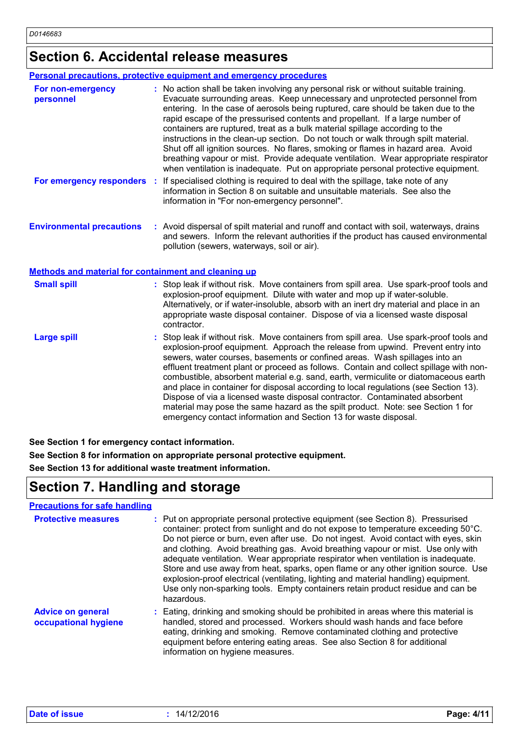# **Section 6. Accidental release measures**

|                                  | <b>Personal precautions, protective equipment and emergency procedures</b>                                                                                                                                                                                                                                                                                                                                                                                                                                                                                                                                                                                                                                                                                                      |
|----------------------------------|---------------------------------------------------------------------------------------------------------------------------------------------------------------------------------------------------------------------------------------------------------------------------------------------------------------------------------------------------------------------------------------------------------------------------------------------------------------------------------------------------------------------------------------------------------------------------------------------------------------------------------------------------------------------------------------------------------------------------------------------------------------------------------|
| For non-emergency<br>personnel   | : No action shall be taken involving any personal risk or without suitable training.<br>Evacuate surrounding areas. Keep unnecessary and unprotected personnel from<br>entering. In the case of aerosols being ruptured, care should be taken due to the<br>rapid escape of the pressurised contents and propellant. If a large number of<br>containers are ruptured, treat as a bulk material spillage according to the<br>instructions in the clean-up section. Do not touch or walk through spilt material.<br>Shut off all ignition sources. No flares, smoking or flames in hazard area. Avoid<br>breathing vapour or mist. Provide adequate ventilation. Wear appropriate respirator<br>when ventilation is inadequate. Put on appropriate personal protective equipment. |
| For emergency responders         | If specialised clothing is required to deal with the spillage, take note of any<br>information in Section 8 on suitable and unsuitable materials. See also the<br>information in "For non-emergency personnel".                                                                                                                                                                                                                                                                                                                                                                                                                                                                                                                                                                 |
| <b>Environmental precautions</b> | : Avoid dispersal of spilt material and runoff and contact with soil, waterways, drains<br>and sewers. Inform the relevant authorities if the product has caused environmental                                                                                                                                                                                                                                                                                                                                                                                                                                                                                                                                                                                                  |

pollution (sewers, waterways, soil or air).

**Methods and material for containment and cleaning up**

| <b>Small spill</b> | : Stop leak if without risk. Move containers from spill area. Use spark-proof tools and<br>explosion-proof equipment. Dilute with water and mop up if water-soluble.<br>Alternatively, or if water-insoluble, absorb with an inert dry material and place in an<br>appropriate waste disposal container. Dispose of via a licensed waste disposal<br>contractor.                                                                                                                                                                                                                                                                                                                                                                                                        |
|--------------------|-------------------------------------------------------------------------------------------------------------------------------------------------------------------------------------------------------------------------------------------------------------------------------------------------------------------------------------------------------------------------------------------------------------------------------------------------------------------------------------------------------------------------------------------------------------------------------------------------------------------------------------------------------------------------------------------------------------------------------------------------------------------------|
| <b>Large spill</b> | : Stop leak if without risk. Move containers from spill area. Use spark-proof tools and<br>explosion-proof equipment. Approach the release from upwind. Prevent entry into<br>sewers, water courses, basements or confined areas. Wash spillages into an<br>effluent treatment plant or proceed as follows. Contain and collect spillage with non-<br>combustible, absorbent material e.g. sand, earth, vermiculite or diatomaceous earth<br>and place in container for disposal according to local regulations (see Section 13).<br>Dispose of via a licensed waste disposal contractor. Contaminated absorbent<br>material may pose the same hazard as the spilt product. Note: see Section 1 for<br>emergency contact information and Section 13 for waste disposal. |

**See Section 1 for emergency contact information.**

**See Section 8 for information on appropriate personal protective equipment. See Section 13 for additional waste treatment information.**

# **Section 7. Handling and storage**

| <b>Precautions for safe handling</b>             |                                                                                                                                                                                                                                                                                                                                                                                                                                                                                                                                                                                                                                                                                                                    |
|--------------------------------------------------|--------------------------------------------------------------------------------------------------------------------------------------------------------------------------------------------------------------------------------------------------------------------------------------------------------------------------------------------------------------------------------------------------------------------------------------------------------------------------------------------------------------------------------------------------------------------------------------------------------------------------------------------------------------------------------------------------------------------|
| <b>Protective measures</b>                       | : Put on appropriate personal protective equipment (see Section 8). Pressurised<br>container: protect from sunlight and do not expose to temperature exceeding 50°C.<br>Do not pierce or burn, even after use. Do not ingest. Avoid contact with eyes, skin<br>and clothing. Avoid breathing gas. Avoid breathing vapour or mist. Use only with<br>adequate ventilation. Wear appropriate respirator when ventilation is inadequate.<br>Store and use away from heat, sparks, open flame or any other ignition source. Use<br>explosion-proof electrical (ventilating, lighting and material handling) equipment.<br>Use only non-sparking tools. Empty containers retain product residue and can be<br>hazardous. |
| <b>Advice on general</b><br>occupational hygiene | : Eating, drinking and smoking should be prohibited in areas where this material is<br>handled, stored and processed. Workers should wash hands and face before<br>eating, drinking and smoking. Remove contaminated clothing and protective<br>equipment before entering eating areas. See also Section 8 for additional<br>information on hygiene measures.                                                                                                                                                                                                                                                                                                                                                      |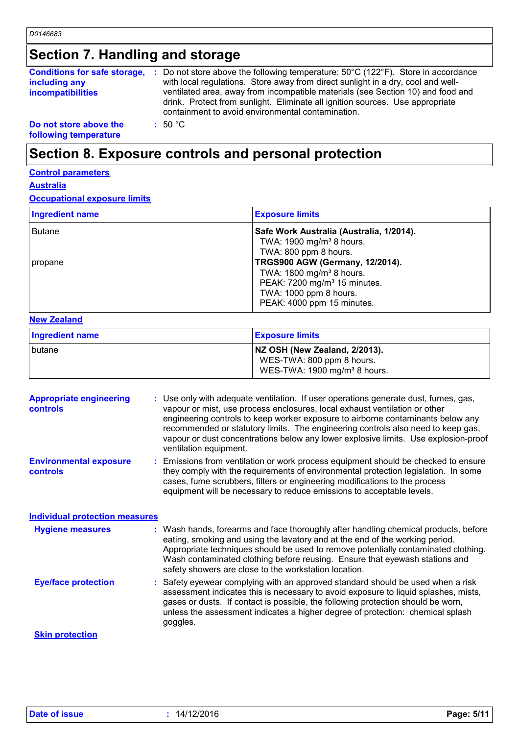# **Section 7. Handling and storage**

|                          | <b>Conditions for safe storage, :</b> Do not store above the following temperature: $50^{\circ}$ C (122 <sup>°</sup> F). Store in accordance                                                                          |
|--------------------------|-----------------------------------------------------------------------------------------------------------------------------------------------------------------------------------------------------------------------|
| including any            | with local regulations. Store away from direct sunlight in a dry, cool and well-                                                                                                                                      |
| <b>incompatibilities</b> | ventilated area, away from incompatible materials (see Section 10) and food and<br>drink. Protect from sunlight. Eliminate all ignition sources. Use appropriate<br>containment to avoid environmental contamination. |
| Do not store above the   | : 50 °C                                                                                                                                                                                                               |

**following temperature**

# **Section 8. Exposure controls and personal protection**

#### **Control parameters**

#### **Australia**

**Occupational exposure limits**

| <b>Ingredient name</b> | <b>Exposure limits</b>                                                           |
|------------------------|----------------------------------------------------------------------------------|
| <b>Butane</b>          | Safe Work Australia (Australia, 1/2014).<br>TWA: 1900 mg/m <sup>3</sup> 8 hours. |
| propane                | TWA: 800 ppm 8 hours.<br><b>TRGS900 AGW (Germany, 12/2014).</b>                  |
|                        | TWA: 1800 mg/m <sup>3</sup> 8 hours.<br>PEAK: 7200 mg/m <sup>3</sup> 15 minutes. |
|                        | TWA: 1000 ppm 8 hours.<br>PEAK: 4000 ppm 15 minutes.                             |

#### **New Zealand**

| <b>Ingredient name</b> | <b>Exposure limits</b>                                                                                 |
|------------------------|--------------------------------------------------------------------------------------------------------|
| butane                 | NZ OSH (New Zealand, 2/2013).<br>WES-TWA: 800 ppm 8 hours.<br>WES-TWA: 1900 mg/m <sup>3</sup> 8 hours. |

| <b>Appropriate engineering</b><br><b>controls</b> | : Use only with adequate ventilation. If user operations generate dust, fumes, gas,<br>vapour or mist, use process enclosures, local exhaust ventilation or other<br>engineering controls to keep worker exposure to airborne contaminants below any<br>recommended or statutory limits. The engineering controls also need to keep gas,<br>vapour or dust concentrations below any lower explosive limits. Use explosion-proof<br>ventilation equipment. |
|---------------------------------------------------|-----------------------------------------------------------------------------------------------------------------------------------------------------------------------------------------------------------------------------------------------------------------------------------------------------------------------------------------------------------------------------------------------------------------------------------------------------------|
| <b>Environmental exposure</b><br><b>controls</b>  | : Emissions from ventilation or work process equipment should be checked to ensure<br>they comply with the requirements of environmental protection legislation. In some<br>cases, fume scrubbers, filters or engineering modifications to the process<br>equipment will be necessary to reduce emissions to acceptable levels.                                                                                                                           |
| <b>Individual protection measures</b>             |                                                                                                                                                                                                                                                                                                                                                                                                                                                           |
| <b>Hygiene measures</b>                           | : Wash hands, forearms and face thoroughly after handling chemical products, before<br>eating, smoking and using the lavatory and at the end of the working period.<br>Appropriate techniques should be used to remove potentially contaminated clothing.<br>Wash contaminated clothing before reusing. Ensure that eyewash stations and<br>safety showers are close to the workstation location.                                                         |
| <b>Eye/face protection</b>                        | : Safety eyewear complying with an approved standard should be used when a risk<br>assessment indicates this is necessary to avoid exposure to liquid splashes, mists,<br>gases or dusts. If contact is possible, the following protection should be worn,<br>unless the assessment indicates a higher degree of protection: chemical splash<br>goggles.                                                                                                  |
| <b>Skin protection</b>                            |                                                                                                                                                                                                                                                                                                                                                                                                                                                           |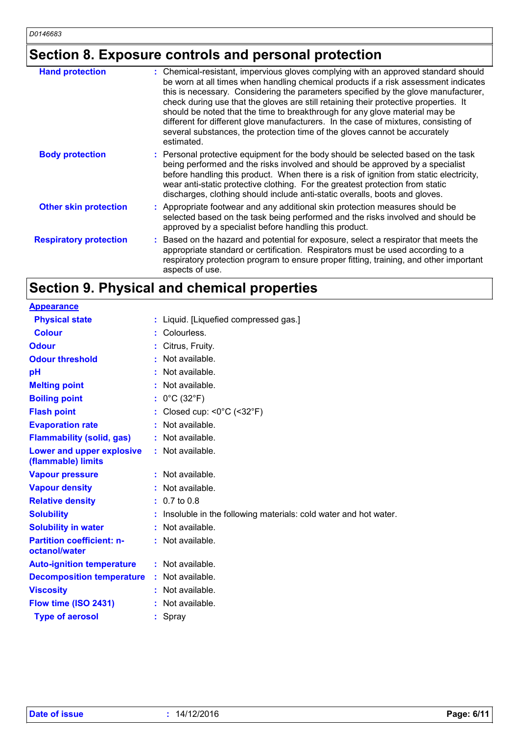# **Section 8. Exposure controls and personal protection**

| <b>Hand protection</b>        | : Chemical-resistant, impervious gloves complying with an approved standard should<br>be worn at all times when handling chemical products if a risk assessment indicates<br>this is necessary. Considering the parameters specified by the glove manufacturer,<br>check during use that the gloves are still retaining their protective properties. It<br>should be noted that the time to breakthrough for any glove material may be<br>different for different glove manufacturers. In the case of mixtures, consisting of<br>several substances, the protection time of the gloves cannot be accurately<br>estimated. |
|-------------------------------|---------------------------------------------------------------------------------------------------------------------------------------------------------------------------------------------------------------------------------------------------------------------------------------------------------------------------------------------------------------------------------------------------------------------------------------------------------------------------------------------------------------------------------------------------------------------------------------------------------------------------|
| <b>Body protection</b>        | : Personal protective equipment for the body should be selected based on the task<br>being performed and the risks involved and should be approved by a specialist<br>before handling this product. When there is a risk of ignition from static electricity,<br>wear anti-static protective clothing. For the greatest protection from static<br>discharges, clothing should include anti-static overalls, boots and gloves.                                                                                                                                                                                             |
| <b>Other skin protection</b>  | : Appropriate footwear and any additional skin protection measures should be<br>selected based on the task being performed and the risks involved and should be<br>approved by a specialist before handling this product.                                                                                                                                                                                                                                                                                                                                                                                                 |
| <b>Respiratory protection</b> | Based on the hazard and potential for exposure, select a respirator that meets the<br>appropriate standard or certification. Respirators must be used according to a<br>respiratory protection program to ensure proper fitting, training, and other important<br>aspects of use.                                                                                                                                                                                                                                                                                                                                         |

# **Section 9. Physical and chemical properties**

| <b>Appearance</b>                                 |                                                                 |
|---------------------------------------------------|-----------------------------------------------------------------|
| <b>Physical state</b>                             | : Liquid. [Liquefied compressed gas.]                           |
| <b>Colour</b>                                     | : Colourless.                                                   |
| <b>Odour</b>                                      | Citrus, Fruity.                                                 |
| <b>Odour threshold</b>                            | $\cdot$ Not available.                                          |
| рH                                                | Not available.                                                  |
| <b>Melting point</b>                              | Not available.                                                  |
| <b>Boiling point</b>                              | : $0^{\circ}$ C (32 $^{\circ}$ F)                               |
| <b>Flash point</b>                                | Closed cup: $\leq 0^{\circ}$ C ( $\leq 32^{\circ}$ F)           |
| <b>Evaporation rate</b>                           | Not available.                                                  |
| <b>Flammability (solid, gas)</b>                  | : Not available.                                                |
| Lower and upper explosive<br>(flammable) limits   | : Not available.                                                |
| <b>Vapour pressure</b>                            | $:$ Not available.                                              |
| <b>Vapour density</b>                             | $:$ Not available.                                              |
| <b>Relative density</b>                           | $: 0.7$ to 0.8                                                  |
| <b>Solubility</b>                                 | Insoluble in the following materials: cold water and hot water. |
| <b>Solubility in water</b>                        | : Not available.                                                |
| <b>Partition coefficient: n-</b><br>octanol/water | : Not available.                                                |
| <b>Auto-ignition temperature</b>                  | : Not available.                                                |
| <b>Decomposition temperature</b>                  | $:$ Not available.                                              |
| <b>Viscosity</b>                                  | $:$ Not available.                                              |
| Flow time (ISO 2431)                              | : Not available.                                                |
| <b>Type of aerosol</b>                            | : Spray                                                         |
|                                                   |                                                                 |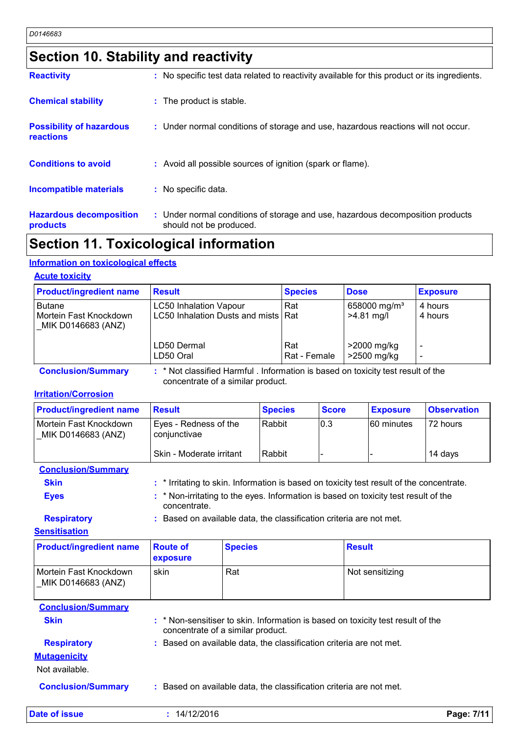# **Section 10. Stability and reactivity**

| <b>Reactivity</b>                            | : No specific test data related to reactivity available for this product or its ingredients.              |
|----------------------------------------------|-----------------------------------------------------------------------------------------------------------|
| <b>Chemical stability</b>                    | : The product is stable.                                                                                  |
| <b>Possibility of hazardous</b><br>reactions | : Under normal conditions of storage and use, hazardous reactions will not occur.                         |
| <b>Conditions to avoid</b>                   | : Avoid all possible sources of ignition (spark or flame).                                                |
| <b>Incompatible materials</b>                | : No specific data.                                                                                       |
| <b>Hazardous decomposition</b><br>products   | : Under normal conditions of storage and use, hazardous decomposition products<br>should not be produced. |

### **Section 11. Toxicological information**

#### **Information on toxicological effects**

#### **Acute toxicity**

| <b>Product/ingredient name</b>                                | <b>Result</b>                                                          | <b>Species</b>      | <b>Dose</b>                              | <b>Exposure</b>    |
|---------------------------------------------------------------|------------------------------------------------------------------------|---------------------|------------------------------------------|--------------------|
| <b>Butane</b><br>Mortein Fast Knockdown<br>MIK D0146683 (ANZ) | <b>LC50 Inhalation Vapour</b><br>LC50 Inhalation Dusts and mists   Rat | Rat                 | 658000 mg/m <sup>3</sup><br>$>4.81$ mg/l | 4 hours<br>4 hours |
|                                                               | LD50 Dermal<br>LD50 Oral                                               | Rat<br>Rat - Female | >2000 mg/kg<br>>2500 mg/kg               |                    |

**Conclusion/Summary :** \* Not classified Harmful . Information is based on toxicity test result of the concentrate of a similar product.

#### **Irritation/Corrosion**

| <b>Product/ingredient name</b>               | <u> Result</u>                        | <b>Species</b> | <b>Score</b> | <b>Exposure</b>   | <b>Observation</b> |
|----------------------------------------------|---------------------------------------|----------------|--------------|-------------------|--------------------|
| Mortein Fast Knockdown<br>MIK D0146683 (ANZ) | Eyes - Redness of the<br>conjunctivae | Rabbit         | 10.3         | <b>60 minutes</b> | 72 hours           |
|                                              | Skin - Moderate irritant              | Rabbit         |              |                   | 14 davs            |

#### **Conclusion/Summary**

| Skin  | : * Irritating to skin. Information is based on toxicity test result of the concentrate.     |
|-------|----------------------------------------------------------------------------------------------|
| Емаа. | $\bullet$ * Non-irritating to the even-information is become an texicity toot require of the |

**Eyes :** \* Non-irritating to the eyes. Information is based on toxicity test result of the concentrate.

**Respiratory :** Based on available data, the classification criteria are not met.

#### **Sensitisation**

| <b>Product/ingredient name</b>               | <b>Route of</b><br>exposure                                         | <b>Species</b>                    | <b>Result</b>                                                                   |
|----------------------------------------------|---------------------------------------------------------------------|-----------------------------------|---------------------------------------------------------------------------------|
| Mortein Fast Knockdown<br>MIK D0146683 (ANZ) | skin                                                                | Rat                               | Not sensitizing                                                                 |
| <b>Conclusion/Summary</b>                    |                                                                     |                                   |                                                                                 |
| <b>Skin</b>                                  |                                                                     | concentrate of a similar product. | : * Non-sensitiser to skin. Information is based on toxicity test result of the |
| <b>Respiratory</b>                           | : Based on available data, the classification criteria are not met. |                                   |                                                                                 |
| <b>Mutagenicity</b><br>Not available.        |                                                                     |                                   |                                                                                 |
| <b>Conclusion/Summary</b>                    |                                                                     |                                   | : Based on available data, the classification criteria are not met.             |

**Date of issue :** 14/12/2016 **Page: 7/11**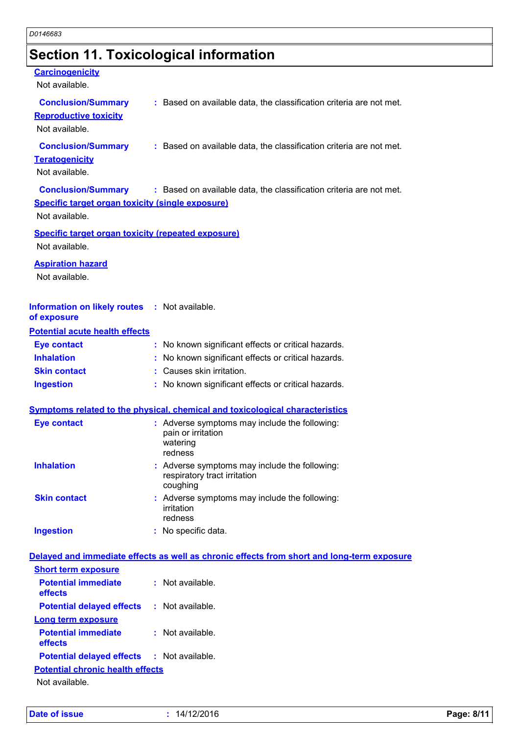# **Section 11. Toxicological information**

| <b>Carcinogenicity</b><br>Not available.                                                               |                                                                                            |  |
|--------------------------------------------------------------------------------------------------------|--------------------------------------------------------------------------------------------|--|
| <b>Conclusion/Summary</b><br><b>Reproductive toxicity</b><br>Not available.                            | : Based on available data, the classification criteria are not met.                        |  |
| <b>Conclusion/Summary</b><br><b>Teratogenicity</b><br>Not available.                                   | : Based on available data, the classification criteria are not met.                        |  |
| <b>Conclusion/Summary</b><br><b>Specific target organ toxicity (single exposure)</b><br>Not available. | : Based on available data, the classification criteria are not met.                        |  |
| <b>Specific target organ toxicity (repeated exposure)</b><br>Not available.                            |                                                                                            |  |
| <b>Aspiration hazard</b><br>Not available.                                                             |                                                                                            |  |
| <b>Information on likely routes</b><br>of exposure                                                     | : Not available.                                                                           |  |
| <b>Potential acute health effects</b>                                                                  |                                                                                            |  |
| <b>Eye contact</b>                                                                                     | : No known significant effects or critical hazards.                                        |  |
| <b>Inhalation</b>                                                                                      | No known significant effects or critical hazards.                                          |  |
| <b>Skin contact</b>                                                                                    | : Causes skin irritation.                                                                  |  |
| <b>Ingestion</b>                                                                                       | : No known significant effects or critical hazards.                                        |  |
|                                                                                                        | <b>Symptoms related to the physical, chemical and toxicological characteristics</b>        |  |
| <b>Eye contact</b>                                                                                     | : Adverse symptoms may include the following:<br>pain or irritation<br>watering<br>redness |  |
| <b>Inhalation</b>                                                                                      | : Adverse symptoms may include the following:<br>respiratory tract irritation<br>coughing  |  |
| <b>Skin contact</b>                                                                                    | : Adverse symptoms may include the following:<br>irritation<br>redness                     |  |
| <b>Ingestion</b>                                                                                       | : No specific data.                                                                        |  |
|                                                                                                        | Delayed and immediate effects as well as chronic effects from short and long-term exposure |  |
| <b>Short term exposure</b>                                                                             |                                                                                            |  |
| <b>Potential immediate</b><br>effects                                                                  | : Not available.                                                                           |  |
| <b>Potential delayed effects</b>                                                                       | : Not available.                                                                           |  |
| <b>Long term exposure</b>                                                                              |                                                                                            |  |
| <b>Potential immediate</b><br>effects                                                                  | : Not available.                                                                           |  |

Not available.

**Potential chronic health effects**

**Potential delayed effects :** Not available.

**Date of issue :** 14/12/2016 **Page: 8/11**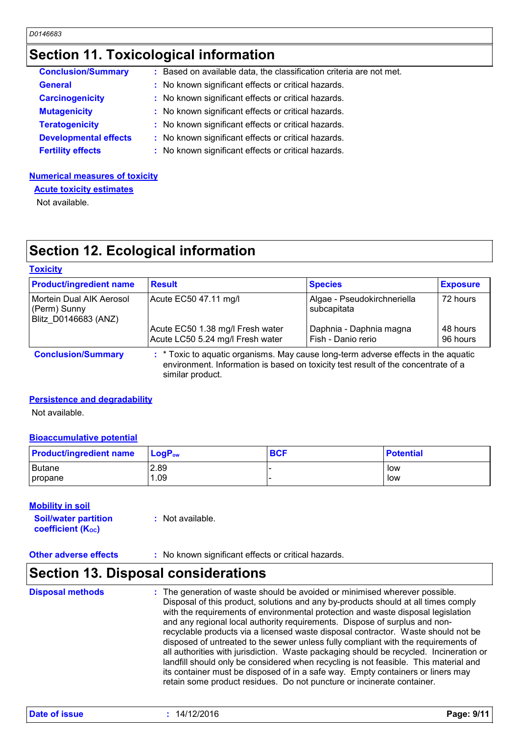## **Section 11. Toxicological information**

| <b>Conclusion/Summary</b>    | : Based on available data, the classification criteria are not met. |
|------------------------------|---------------------------------------------------------------------|
| <b>General</b>               | : No known significant effects or critical hazards.                 |
| <b>Carcinogenicity</b>       | : No known significant effects or critical hazards.                 |
| <b>Mutagenicity</b>          | : No known significant effects or critical hazards.                 |
| <b>Teratogenicity</b>        | : No known significant effects or critical hazards.                 |
| <b>Developmental effects</b> | : No known significant effects or critical hazards.                 |
| <b>Fertility effects</b>     | : No known significant effects or critical hazards.                 |

#### **Numerical measures of toxicity**

**Acute toxicity estimates**

Not available.

# **Section 12. Ecological information**

#### **Toxicity**

| <b>Product/ingredient name</b>                                   | <b>Result</b>                                                                              | <b>Species</b>                                | <b>Exposure</b>      |
|------------------------------------------------------------------|--------------------------------------------------------------------------------------------|-----------------------------------------------|----------------------|
| Mortein Dual AIK Aerosol<br>(Perm) Sunny<br>Blitz D0146683 (ANZ) | Acute EC50 47.11 mg/l                                                                      | Algae - Pseudokirchneriella<br>subcapitata    | 72 hours             |
|                                                                  | Acute EC50 1.38 mg/l Fresh water<br>Acute LC50 5.24 mg/l Fresh water                       | Daphnia - Daphnia magna<br>Fish - Danio rerio | 48 hours<br>96 hours |
| Canalusian IC company                                            | $\cdot$ * Tayle to caustic creatives. Mou couse least term adverse effects in the counting |                                               |                      |

**Conclusion/Summary :** \* Toxic to aquatic organisms. May cause long-term adverse effects in the aquatic environment. Information is based on toxicity test result of the concentrate of a similar product.

#### **Persistence and degradability**

Not available.

#### **Bioaccumulative potential**

| <b>Product/ingredient name</b> | $\blacksquare$ Log $\mathsf{P}_\mathsf{ow}$ | <b>BCF</b> | <b>Potential</b> |
|--------------------------------|---------------------------------------------|------------|------------------|
| <b>Butane</b>                  | 2.89                                        |            | low              |
| propane                        | .09                                         |            | low              |

#### **Mobility in soil**

**Soil/water partition coefficient (KOC) :** Not available.

#### **Other adverse effects** : No known significant effects or critical hazards.

### **Section 13. Disposal considerations**

The generation of waste should be avoided or minimised wherever possible. Disposal of this product, solutions and any by-products should at all times comply with the requirements of environmental protection and waste disposal legislation and any regional local authority requirements. Dispose of surplus and nonrecyclable products via a licensed waste disposal contractor. Waste should not be disposed of untreated to the sewer unless fully compliant with the requirements of all authorities with jurisdiction. Waste packaging should be recycled. Incineration or landfill should only be considered when recycling is not feasible. This material and its container must be disposed of in a safe way. Empty containers or liners may retain some product residues. Do not puncture or incinerate container. **Disposal methods :**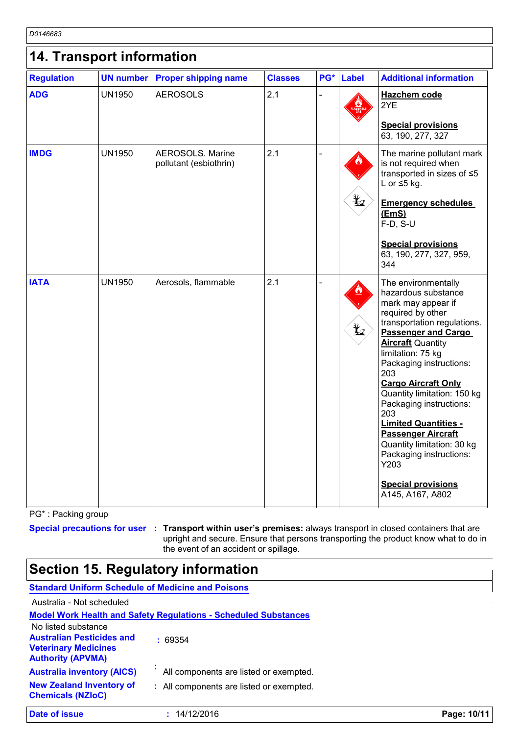*D0146683* 

| 14. Transport information |               |                                                   |                |     |              |                                                                                                                                                                                                                                                                                                                                                                                                                                                                                                                    |
|---------------------------|---------------|---------------------------------------------------|----------------|-----|--------------|--------------------------------------------------------------------------------------------------------------------------------------------------------------------------------------------------------------------------------------------------------------------------------------------------------------------------------------------------------------------------------------------------------------------------------------------------------------------------------------------------------------------|
| <b>Regulation</b>         |               | <b>UN number Proper shipping name</b>             | <b>Classes</b> | PG* | <b>Label</b> | <b>Additional information</b>                                                                                                                                                                                                                                                                                                                                                                                                                                                                                      |
| <b>ADG</b>                | <b>UN1950</b> | <b>AEROSOLS</b>                                   | 2.1            |     |              | <b>Hazchem code</b><br>2YE<br><b>Special provisions</b><br>63, 190, 277, 327                                                                                                                                                                                                                                                                                                                                                                                                                                       |
| <b>IMDG</b>               | <b>UN1950</b> | <b>AEROSOLS. Marine</b><br>pollutant (esbiothrin) | 2.1            |     | ¥⊿           | The marine pollutant mark<br>is not required when<br>transported in sizes of ≤5<br>L or $\leq$ 5 kg.<br><b>Emergency schedules</b><br>(EmS)<br>F-D, S-U<br><b>Special provisions</b><br>63, 190, 277, 327, 959,<br>344                                                                                                                                                                                                                                                                                             |
| <b>IATA</b>               | <b>UN1950</b> | Aerosols, flammable                               | 2.1            |     | $\bigstar$   | The environmentally<br>hazardous substance<br>mark may appear if<br>required by other<br>transportation regulations.<br><b>Passenger and Cargo</b><br><b>Aircraft Quantity</b><br>limitation: 75 kg<br>Packaging instructions:<br>203<br><b>Cargo Aircraft Only</b><br>Quantity limitation: 150 kg<br>Packaging instructions:<br>203<br><b>Limited Quantities -</b><br><b>Passenger Aircraft</b><br>Quantity limitation: 30 kg<br>Packaging instructions:<br>Y203<br><b>Special provisions</b><br>A145, A167, A802 |

PG\* : Packing group

**Special precautions for user Transport within user's premises:** always transport in closed containers that are **:** upright and secure. Ensure that persons transporting the product know what to do in the event of an accident or spillage.

# **Section 15. Regulatory information**

| <b>Standard Uniform Schedule of Medicine and Poisons</b>                                                           |                                                                        |             |
|--------------------------------------------------------------------------------------------------------------------|------------------------------------------------------------------------|-------------|
| Australia - Not scheduled                                                                                          |                                                                        |             |
|                                                                                                                    | <b>Model Work Health and Safety Requlations - Scheduled Substances</b> |             |
| No listed substance<br><b>Australian Pesticides and</b><br><b>Veterinary Medicines</b><br><b>Authority (APVMA)</b> | : 69354                                                                |             |
| <b>Australia inventory (AICS)</b>                                                                                  | All components are listed or exempted.                                 |             |
| <b>New Zealand Inventory of</b><br><b>Chemicals (NZIoC)</b>                                                        | : All components are listed or exempted.                               |             |
| <b>Date of issue</b>                                                                                               | 14/12/2016                                                             | Page: 10/11 |